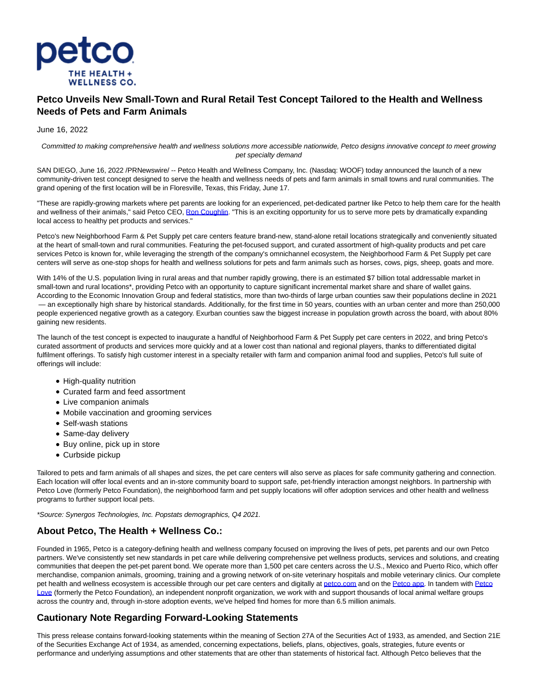

## **Petco Unveils New Small-Town and Rural Retail Test Concept Tailored to the Health and Wellness Needs of Pets and Farm Animals**

June 16, 2022

Committed to making comprehensive health and wellness solutions more accessible nationwide, Petco designs innovative concept to meet growing pet specialty demand

SAN DIEGO, June 16, 2022 /PRNewswire/ -- Petco Health and Wellness Company, Inc. (Nasdaq: WOOF) today announced the launch of a new community-driven test concept designed to serve the health and wellness needs of pets and farm animals in small towns and rural communities. The grand opening of the first location will be in Floresville, Texas, this Friday, June 17.

"These are rapidly-growing markets where pet parents are looking for an experienced, pet-dedicated partner like Petco to help them care for the health and wellness of their animals," said Petco CEO, [Ron Coughlin.](https://c212.net/c/link/?t=0&l=en&o=3569123-1&h=3011253077&u=https%3A%2F%2Fwww.linkedin.com%2Fin%2Fron-coughlin%2F&a=Ron+Coughlin) "This is an exciting opportunity for us to serve more pets by dramatically expanding local access to healthy pet products and services."

Petco's new Neighborhood Farm & Pet Supply pet care centers feature brand-new, stand-alone retail locations strategically and conveniently situated at the heart of small-town and rural communities. Featuring the pet-focused support, and curated assortment of high-quality products and pet care services Petco is known for, while leveraging the strength of the company's omnichannel ecosystem, the Neighborhood Farm & Pet Supply pet care centers will serve as one-stop shops for health and wellness solutions for pets and farm animals such as horses, cows, pigs, sheep, goats and more.

With 14% of the U.S. population living in rural areas and that number rapidly growing, there is an estimated \$7 billion total addressable market in small-town and rural locations\*, providing Petco with an opportunity to capture significant incremental market share and share of wallet gains. According to the Economic Innovation Group and federal statistics, more than two-thirds of large urban counties saw their populations decline in 2021 — an exceptionally high share by historical standards. Additionally, for the first time in 50 years, counties with an urban center and more than 250,000 people experienced negative growth as a category. Exurban counties saw the biggest increase in population growth across the board, with about 80% gaining new residents.

The launch of the test concept is expected to inaugurate a handful of Neighborhood Farm & Pet Supply pet care centers in 2022, and bring Petco's curated assortment of products and services more quickly and at a lower cost than national and regional players, thanks to differentiated digital fulfilment offerings. To satisfy high customer interest in a specialty retailer with farm and companion animal food and supplies, Petco's full suite of offerings will include:

- High-quality nutrition
- Curated farm and feed assortment
- Live companion animals
- Mobile vaccination and grooming services
- Self-wash stations
- Same-day delivery
- Buy online, pick up in store
- Curbside pickup

Tailored to pets and farm animals of all shapes and sizes, the pet care centers will also serve as places for safe community gathering and connection. Each location will offer local events and an in-store community board to support safe, pet-friendly interaction amongst neighbors. In partnership with Petco Love (formerly Petco Foundation), the neighborhood farm and pet supply locations will offer adoption services and other health and wellness programs to further support local pets.

\*Source: Synergos Technologies, Inc. Popstats demographics, Q4 2021.

## **About Petco, The Health + Wellness Co.:**

Founded in 1965, Petco is a category-defining health and wellness company focused on improving the lives of pets, pet parents and our own Petco partners. We've consistently set new standards in pet care while delivering comprehensive pet wellness products, services and solutions, and creating communities that deepen the pet-pet parent bond. We operate more than 1,500 pet care centers across the U.S., Mexico and Puerto Rico, which offer merchandise, companion animals, grooming, training and a growing network of on-site veterinary hospitals and mobile veterinary clinics. Our complete pet health and wellness ecosystem is accessible through our pet care centers and digitally at [petco.com a](https://c212.net/c/link/?t=0&l=en&o=3569123-1&h=4143545142&u=https%3A%2F%2Fc212.net%2Fc%2Flink%2F%3Ft%3D0%26l%3Den%26o%3D3543489-1%26h%3D677179170%26u%3Dhttps%253A%252F%252Fc212.net%252Fc%252Flink%252F%253Ft%253D0%2526l%253Den%2526o%253D3276883-1%2526h%253D683328306%2526u%253Dhttps%25253A%25252F%25252Fnam12.safelinks.protection.outlook.com%25252F%25253Furl%25253Dhttps%2525253A%2525252F%2525252Fc212.net%2525252Fc%2525252Flink%2525252F%2525253Ft%2525253D0%25252526l%2525253Den%25252526o%2525253D3264315-1%25252526h%2525253D1999365729%25252526u%2525253Dhttps%252525253A%252525252F%252525252Fnam12.safelinks.protection.outlook.com%252525252F%252525253Furl%252525253Dhttps%25252525253A%25252525252F%25252525252Fwww.petco.com%25252525252Fshop%25252525252Fen%25252525252Fpetcostore%25252525253Fcm_mmc%25252525253DPBR%2525252525257CPRR%2525252525257CCCY%2525252525257CCCO%2525252525257CPR%2525252525257C0%2525252525257C7tWTCxscYd3ACU1tBiw4Em%2525252525257C0%2525252525257C0%2525252525257C0%2525252525257C0%2525252526data%252525253D04%25252525257C01%25252525257CVentura.Olvera%252525252540PETCO.com%25252525257C553b8d94d64345264fa908d93d86da45%25252525257C1281036727b241b1a5897c74628d957d%25252525257C0%25252525257C0%25252525257C637608472843934972%25252525257CUnknown%25252525257CTWFpbGZsb3d8eyJWIjoiMC4wLjAwMDAiLCJQIjoiV2luMzIiLCJBTiI6Ik1haWwiLCJXVCI6Mn0%25252525253D%25252525257C2000%2525252526sdata%252525253DuO5rn%25252525252F4IIYNtbc%25252525252F3nZlickvez8Sf1Vz9AtS9ycZ8gUM%25252525253D%2525252526reserved%252525253D0%25252526a%2525253Dpetco.com%252526data%25253D04%2525257C01%2525257CDanielle.Alvarado%25252540petco.com%2525257C8c67fcf6991a43b00bc208d9668fe054%2525257C1281036727b241b1a5897c74628d957d%2525257C0%2525257C0%2525257C637653590439907698%2525257CUnknown%2525257CTWFpbGZsb3d8eyJWIjoiMC4wLjAwMDAiLCJQIjoiV2luMzIiLCJBTiI6Ik1haWwiLCJXVCI6Mn0%2525253D%2525257C1000%252526sdata%25253Dls%2525252F3rV2iBnysfaUhI5xzfz%2525252FO1hh9748mVhRYPzAanzI%2525253D%252526reserved%25253D0%2526a%253Dpetco.com%26a%3Dpetco.com&a=petco.com)nd on the [Petco app.](https://c212.net/c/link/?t=0&l=en&o=3569123-1&h=3004433433&u=https%3A%2F%2Fc212.net%2Fc%2Flink%2F%3Ft%3D0%26l%3Den%26o%3D3543489-1%26h%3D677179170%26u%3Dhttps%253A%252F%252Fc212.net%252Fc%252Flink%252F%253Ft%253D0%2526l%253Den%2526o%253D3276883-1%2526h%253D683328306%2526u%253Dhttps%25253A%25252F%25252Fnam12.safelinks.protection.outlook.com%25252F%25253Furl%25253Dhttps%2525253A%2525252F%2525252Fc212.net%2525252Fc%2525252Flink%2525252F%2525253Ft%2525253D0%25252526l%2525253Den%25252526o%2525253D3264315-1%25252526h%2525253D1999365729%25252526u%2525253Dhttps%252525253A%252525252F%252525252Fnam12.safelinks.protection.outlook.com%252525252F%252525253Furl%252525253Dhttps%25252525253A%25252525252F%25252525252Fwww.petco.com%25252525252Fshop%25252525252Fen%25252525252Fpetcostore%25252525253Fcm_mmc%25252525253DPBR%2525252525257CPRR%2525252525257CCCY%2525252525257CCCO%2525252525257CPR%2525252525257C0%2525252525257C7tWTCxscYd3ACU1tBiw4Em%2525252525257C0%2525252525257C0%2525252525257C0%2525252525257C0%2525252526data%252525253D04%25252525257C01%25252525257CVentura.Olvera%252525252540PETCO.com%25252525257C553b8d94d64345264fa908d93d86da45%25252525257C1281036727b241b1a5897c74628d957d%25252525257C0%25252525257C0%25252525257C637608472843934972%25252525257CUnknown%25252525257CTWFpbGZsb3d8eyJWIjoiMC4wLjAwMDAiLCJQIjoiV2luMzIiLCJBTiI6Ik1haWwiLCJXVCI6Mn0%25252525253D%25252525257C2000%2525252526sdata%252525253DuO5rn%25252525252F4IIYNtbc%25252525252F3nZlickvez8Sf1Vz9AtS9ycZ8gUM%25252525253D%2525252526reserved%252525253D0%25252526a%2525253Dpetco.com%252526data%25253D04%2525257C01%2525257CDanielle.Alvarado%25252540petco.com%2525257C8c67fcf6991a43b00bc208d9668fe054%2525257C1281036727b241b1a5897c74628d957d%2525257C0%2525257C0%2525257C637653590439907698%2525257CUnknown%2525257CTWFpbGZsb3d8eyJWIjoiMC4wLjAwMDAiLCJQIjoiV2luMzIiLCJBTiI6Ik1haWwiLCJXVCI6Mn0%2525253D%2525257C1000%252526sdata%25253Dls%2525252F3rV2iBnysfaUhI5xzfz%2525252FO1hh9748mVhRYPzAanzI%2525253D%252526reserved%25253D0%2526a%253Dpetco.com%26a%3Dpetco.com&a=Petco+app) In tandem with [Petco](https://c212.net/c/link/?t=0&l=en&o=3569123-1&h=3613412450&u=https%3A%2F%2Fc212.net%2Fc%2Flink%2F%3Ft%3D0%26l%3Den%26o%3D3543489-1%26h%3D2703010721%26u%3Dhttps%253A%252F%252Fc212.net%252Fc%252Flink%252F%253Ft%253D0%2526l%253Den%2526o%253D3276883-1%2526h%253D820408004%2526u%253Dhttps%25253A%25252F%25252Fnam12.safelinks.protection.outlook.com%25252F%25253Furl%25253Dhttps%2525253A%2525252F%2525252Fc212.net%2525252Fc%2525252Flink%2525252F%2525253Ft%2525253D0%25252526l%2525253Den%25252526o%2525253D3264315-1%25252526h%2525253D2420695824%25252526u%2525253Dhttps%252525253A%252525252F%252525252Fnam12.safelinks.protection.outlook.com%252525252F%252525253Furl%252525253Dhttps%25252525253A%25252525252F%25252525252Fpetcolove.org%25252525252F%25252525253Futm_medium%25252525253Dpublicrelations%252525252526utm_source%25252525253Dpetco-pressrelease%252525252526utm_campaign%25252525253Dboilerplate%2525252526data%252525253D04%25252525257C01%25252525257CVentura.Olvera%252525252540PETCO.com%25252525257C553b8d94d64345264fa908d93d86da45%25252525257C1281036727b241b1a5897c74628d957d%25252525257C0%25252525257C0%25252525257C637608472843944925%25252525257CUnknown%25252525257CTWFpbGZsb3d8eyJWIjoiMC4wLjAwMDAiLCJQIjoiV2luMzIiLCJBTiI6Ik1haWwiLCJXVCI6Mn0%25252525253D%25252525257C2000%2525252526sdata%252525253D7B%25252525252BSUcVQz3HsnrzBdx7ovk44CJTN2OuA4fY1SQUjtyU%25252525253D%2525252526reserved%252525253D0%25252526a%2525253DPetco%2525252BLove%252526data%25253D04%2525257C01%2525257CDanielle.Alvarado%25252540petco.com%2525257C8c67fcf6991a43b00bc208d9668fe054%2525257C1281036727b241b1a5897c74628d957d%2525257C0%2525257C0%2525257C637653590439917687%2525257CUnknown%2525257CTWFpbGZsb3d8eyJWIjoiMC4wLjAwMDAiLCJQIjoiV2luMzIiLCJBTiI6Ik1haWwiLCJXVCI6Mn0%2525253D%2525257C1000%252526sdata%25253DlKXyZNNLBTTz7KdQZvqWlOtT4IG4p2vIoZe6jwp51do%2525253D%252526reserved%25253D0%2526a%253DPetco%252BLove%26a%3DPetco%2BLove&a=Petco+Love) Love (formerly the Petco Foundation), an independent nonprofit organization, we work with and support thousands of local animal welfare groups across the country and, through in-store adoption events, we've helped find homes for more than 6.5 million animals.

## **Cautionary Note Regarding Forward-Looking Statements**

This press release contains forward-looking statements within the meaning of Section 27A of the Securities Act of 1933, as amended, and Section 21E of the Securities Exchange Act of 1934, as amended, concerning expectations, beliefs, plans, objectives, goals, strategies, future events or performance and underlying assumptions and other statements that are other than statements of historical fact. Although Petco believes that the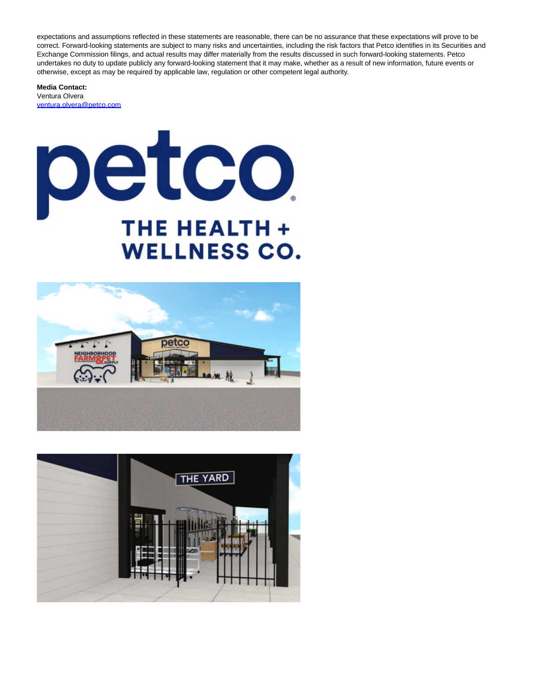expectations and assumptions reflected in these statements are reasonable, there can be no assurance that these expectations will prove to be correct. Forward-looking statements are subject to many risks and uncertainties, including the risk factors that Petco identifies in its Securities and Exchange Commission filings, and actual results may differ materially from the results discussed in such forward-looking statements. Petco undertakes no duty to update publicly any forward-looking statement that it may make, whether as a result of new information, future events or otherwise, except as may be required by applicable law, regulation or other competent legal authority.

**Media Contact:**  Ventura Olvera [ventura.olvera@petco.com](mailto:ventura.olvera@petco.com)